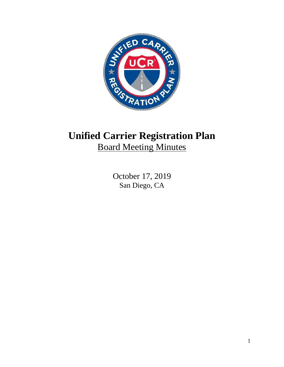

# **Unified Carrier Registration Plan** Board Meeting Minutes

October 17, 2019 San Diego, CA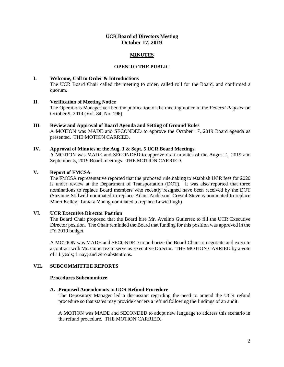# **UCR Board of Directors Meeting October 17, 2019**

# **MINUTES**

## **OPEN TO THE PUBLIC**

## **I. Welcome, Call to Order & Introductions**

The UCR Board Chair called the meeting to order, called roll for the Board, and confirmed a quorum.

# **II. Verification of Meeting Notice**

The Operations Manager verified the publication of the meeting notice in the *Federal Register* on October 9, 2019 (Vol. 84; No. 196).

**III. Review and Approval of Board Agenda and Setting of Ground Rules** A MOTION was MADE and SECONDED to approve the October 17, 2019 Board agenda as presented. THE MOTION CARRIED.

#### **IV. Approval of Minutes of the Aug. 1 & Sept. 5 UCR Board Meetings**

A MOTION was MADE and SECONDED to approve draft minutes of the August 1, 2019 and September 5, 2019 Board meetings. THE MOTION CARRIED.

## **V. Report of FMCSA**

The FMCSA representative reported that the proposed rulemaking to establish UCR fees for 2020 is under review at the Department of Transportation (DOT). It was also reported that three nominations to replace Board members who recently resigned have been received by the DOT (Suzanne Stillwell nominated to replace Adam Anderson; Crystal Stevens nominated to replace Marci Kelley; Tamara Young nominated to replace Lewie Pugh).

# **VI. UCR Executive Director Position**

The Board Chair proposed that the Board hire Mr. Avelino Gutierrez to fill the UCR Executive Director position. The Chair reminded the Board that funding for this position was approved in the FY 2019 budget.

A MOTION was MADE and SECONDED to authorize the Board Chair to negotiate and execute a contract with Mr. Gutierrez to serve as Executive Director. THE MOTION CARRIED by a vote of 11 yea's; 1 nay; and zero abstentions.

# **VII. SUBCOMMITTEE REPORTS**

## **Procedures Subcommittee**

#### **A. Proposed Amendments to UCR Refund Procedure**

The Depository Manager led a discussion regarding the need to amend the UCR refund procedure so that states may provide carriers a refund following the findings of an audit.

A MOTION was MADE and SECONDED to adopt new language to address this scenario in the refund procedure. THE MOTION CARRIED.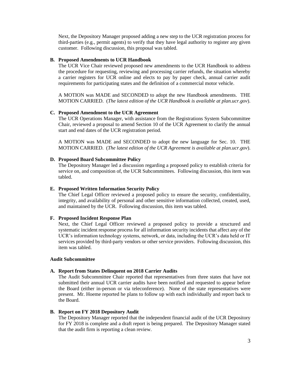Next, the Depository Manager proposed adding a new step to the UCR registration process for third-parties (e.g., permit agents) to verify that they have legal authority to register any given customer. Following discussion, this proposal was tabled.

#### **B. Proposed Amendments to UCR Handbook**

The UCR Vice Chair reviewed proposed new amendments to the UCR Handbook to address the procedure for requesting, reviewing and processing carrier refunds, the situation whereby a carrier registers for UCR online and elects to pay by paper check, annual carrier audit requirements for participating states and the definition of a commercial motor vehicle.

A MOTION was MADE and SECONDED to adopt the new Handbook amendments. THE MOTION CARRIED. (*The latest edition of the UCR Handbook is available at plan.ucr.gov*).

# **C. Proposed Amendment to the UCR Agreement**

The UCR Operations Manager, with assistance from the Registrations System Subcommittee Chair, reviewed a proposal to amend Section 10 of the UCR Agreement to clarify the annual start and end dates of the UCR registration period.

A MOTION was MADE and SECONDED to adopt the new language for Sec. 10. THE MOTION CARRIED. (*The latest edition of the UCR Agreement is available at plan.ucr.gov*).

#### **D. Proposed Board Subcommittee Policy**

The Depository Manager led a discussion regarding a proposed policy to establish criteria for service on, and composition of, the UCR Subcommittees. Following discussion, this item was tabled.

## **E. Proposed Written Information Security Policy**

The Chief Legal Officer reviewed a proposed policy to ensure the security, confidentiality, integrity, and availability of personal and other sensitive information collected, created, used, and maintained by the UCR. Following discussion, this item was tabled.

#### **F. Proposed Incident Response Plan**

Next, the Chief Legal Officer reviewed a proposed policy to provide a structured and systematic incident response process for all information security incidents that affect any of the UCR's information technology systems, network, or data, including the UCR's data held or IT services provided by third-party vendors or other service providers. Following discussion, this item was tabled.

#### **Audit Subcommittee**

#### **A. Report from States Delinquent on 2018 Carrier Audits**

The Audit Subcommittee Chair reported that representatives from three states that have not submitted their annual UCR carrier audits have been notified and requested to appear before the Board (either in-person or via teleconference). None of the state representatives were present. Mr. Hoeme reported he plans to follow up with each individually and report back to the Board.

#### **B. Report on FY 2018 Depository Audit**

The Depository Manager reported that the independent financial audit of the UCR Depository for FY 2018 is complete and a draft report is being prepared. The Depository Manager stated that the audit firm is reporting a clean review.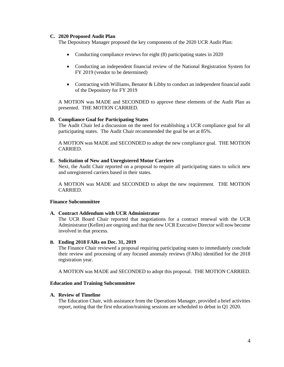## **C. 2020 Proposed Audit Plan**

The Depository Manager proposed the key components of the 2020 UCR Audit Plan:

- Conducting compliance reviews for eight (8) participating states in 2020
- Conducting an independent financial review of the National Registration System for FY 2019 (vendor to be determined)
- Contracting with Williams, Benator & Libby to conduct an independent financial audit of the Depository for FY 2019

A MOTION was MADE and SECONDED to approve these elements of the Audit Plan as presented. THE MOTION CARRIED.

## **D. Compliance Goal for Participating States**

The Audit Chair led a discussion on the need for establishing a UCR compliance goal for all participating states. The Audit Chair recommended the goal be set at 85%.

A MOTION was MADE and SECONDED to adopt the new compliance goal. THE MOTION CARRIED.

## **E. Solicitation of New and Unregistered Motor Carriers**

Next, the Audit Chair reported on a proposal to require all participating states to solicit new and unregistered carriers based in their states.

A MOTION was MADE and SECONDED to adopt the new requirement. THE MOTION **CARRIED.** 

#### **Finance Subcommittee**

#### **A. Contract Addendum with UCR Administrator**

The UCR Board Chair reported that negotiations for a contract renewal with the UCR Administrator (Kellen) are ongoing and that the new UCR Executive Director will now become involved in that process.

## **B. Ending 2018 FARs on Dec. 31, 2019**

The Finance Chair reviewed a proposal requiring participating states to immediately conclude their review and processing of any focused anomaly reviews (FARs) identified for the 2018 registration year.

A MOTION was MADE and SECONDED to adopt this proposal. THE MOTION CARRIED.

#### **Education and Training Subcommittee**

#### **A. Review of Timeline**

The Education Chair, with assistance from the Operations Manager, provided a brief activities report, noting that the first education/training sessions are scheduled to debut in Q1 2020.